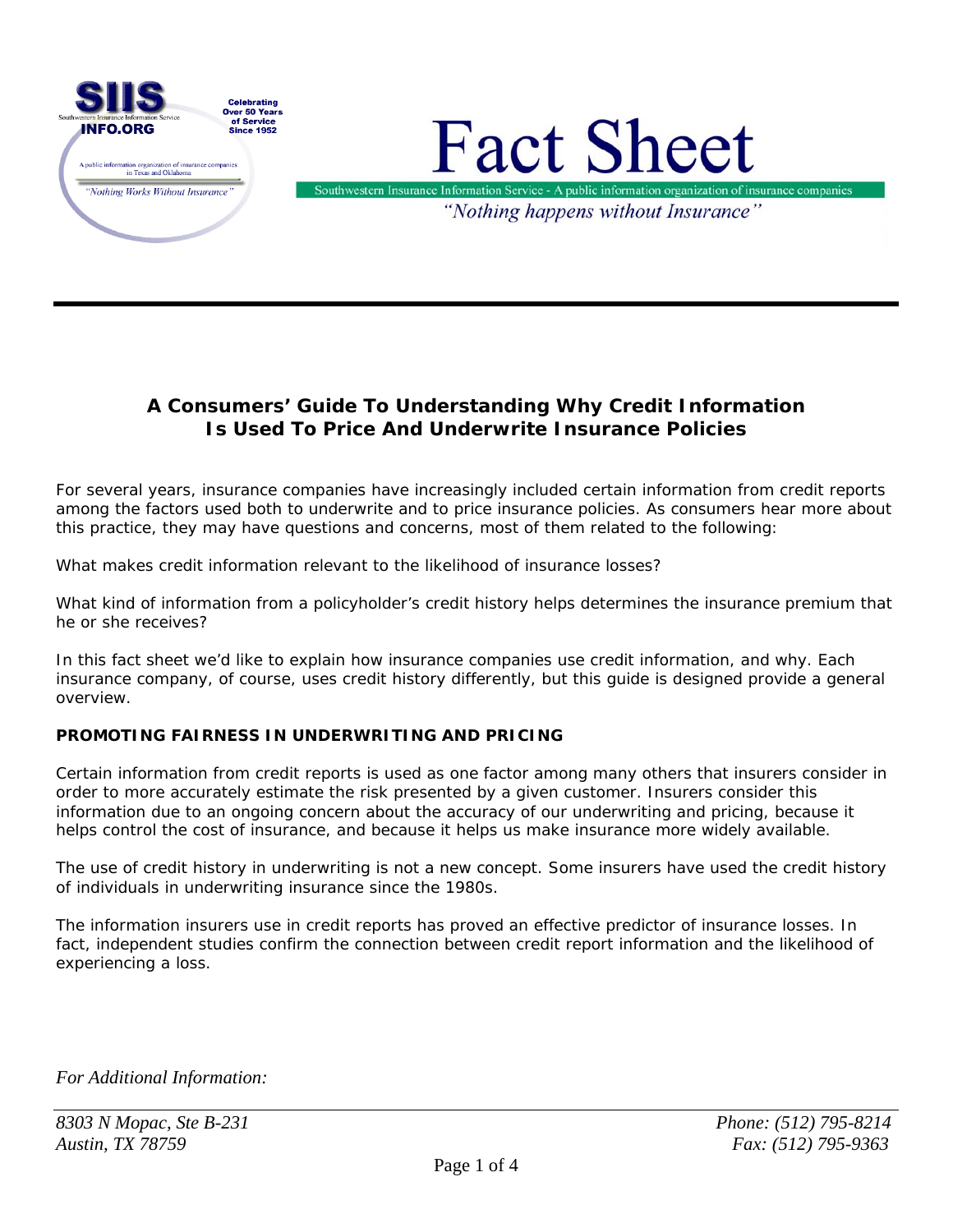

# **A Consumers' Guide To Understanding Why Credit Information Is Used To Price And Underwrite Insurance Policies**

For several years, insurance companies have increasingly included certain information from credit reports among the factors used both to underwrite and to price insurance policies. As consumers hear more about this practice, they may have questions and concerns, most of them related to the following:

What makes credit information relevant to the likelihood of insurance losses?

What kind of information from a policyholder's credit history helps determines the insurance premium that he or she receives?

In this fact sheet we'd like to explain how insurance companies use credit information, and why. Each insurance company, of course, uses credit history differently, but this guide is designed provide a general overview.

### **PROMOTING FAIRNESS IN UNDERWRITING AND PRICING**

Certain information from credit reports is used as one factor among many others that insurers consider in order to more accurately estimate the risk presented by a given customer. Insurers consider this information due to an ongoing concern about the accuracy of our underwriting and pricing, because it helps control the cost of insurance, and because it helps us make insurance more widely available.

The use of credit history in underwriting is not a new concept. Some insurers have used the credit history of individuals in underwriting insurance since the 1980s.

The information insurers use in credit reports has proved an effective predictor of insurance losses. In fact, independent studies confirm the connection between credit report information and the likelihood of experiencing a loss.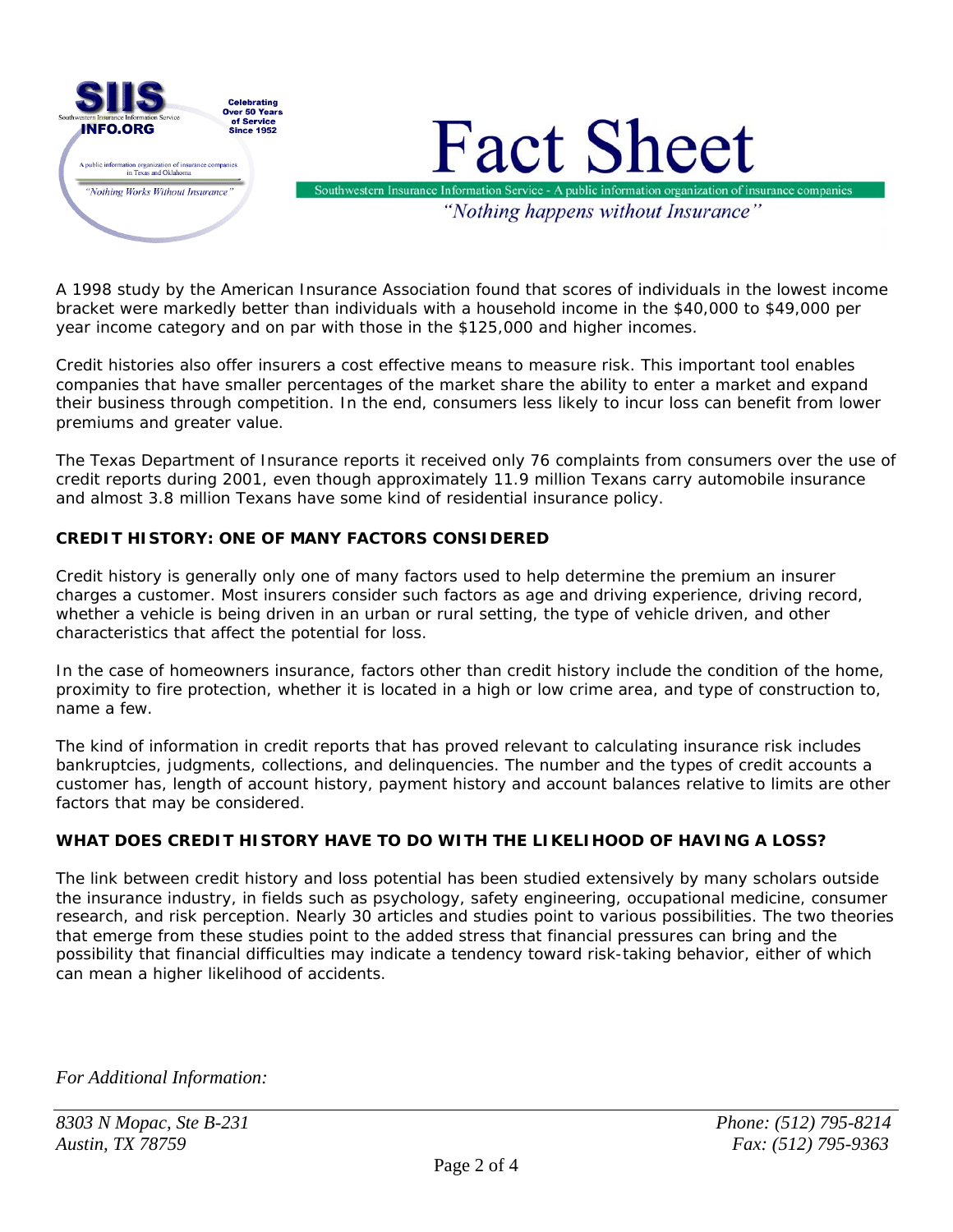

A 1998 study by the American Insurance Association found that scores of individuals in the lowest income bracket were markedly better than individuals with a household income in the \$40,000 to \$49,000 per year income category and on par with those in the \$125,000 and higher incomes.

Credit histories also offer insurers a cost effective means to measure risk. This important tool enables companies that have smaller percentages of the market share the ability to enter a market and expand their business through competition. In the end, consumers less likely to incur loss can benefit from lower premiums and greater value.

The Texas Department of Insurance reports it received only 76 complaints from consumers over the use of credit reports during 2001, even though approximately 11.9 million Texans carry automobile insurance and almost 3.8 million Texans have some kind of residential insurance policy.

### **CREDIT HISTORY: ONE OF MANY FACTORS CONSIDERED**

Credit history is generally only one of many factors used to help determine the premium an insurer charges a customer. Most insurers consider such factors as age and driving experience, driving record, whether a vehicle is being driven in an urban or rural setting, the type of vehicle driven, and other characteristics that affect the potential for loss.

In the case of homeowners insurance, factors other than credit history include the condition of the home, proximity to fire protection, whether it is located in a high or low crime area, and type of construction to, name a few.

The kind of information in credit reports that has proved relevant to calculating insurance risk includes bankruptcies, judgments, collections, and delinquencies. The number and the types of credit accounts a customer has, length of account history, payment history and account balances relative to limits are other factors that may be considered.

### **WHAT DOES CREDIT HISTORY HAVE TO DO WITH THE LIKELIHOOD OF HAVING A LOSS?**

The link between credit history and loss potential has been studied extensively by many scholars outside the insurance industry, in fields such as psychology, safety engineering, occupational medicine, consumer research, and risk perception. Nearly 30 articles and studies point to various possibilities. The two theories that emerge from these studies point to the added stress that financial pressures can bring and the possibility that financial difficulties may indicate a tendency toward risk-taking behavior, either of which can mean a higher likelihood of accidents.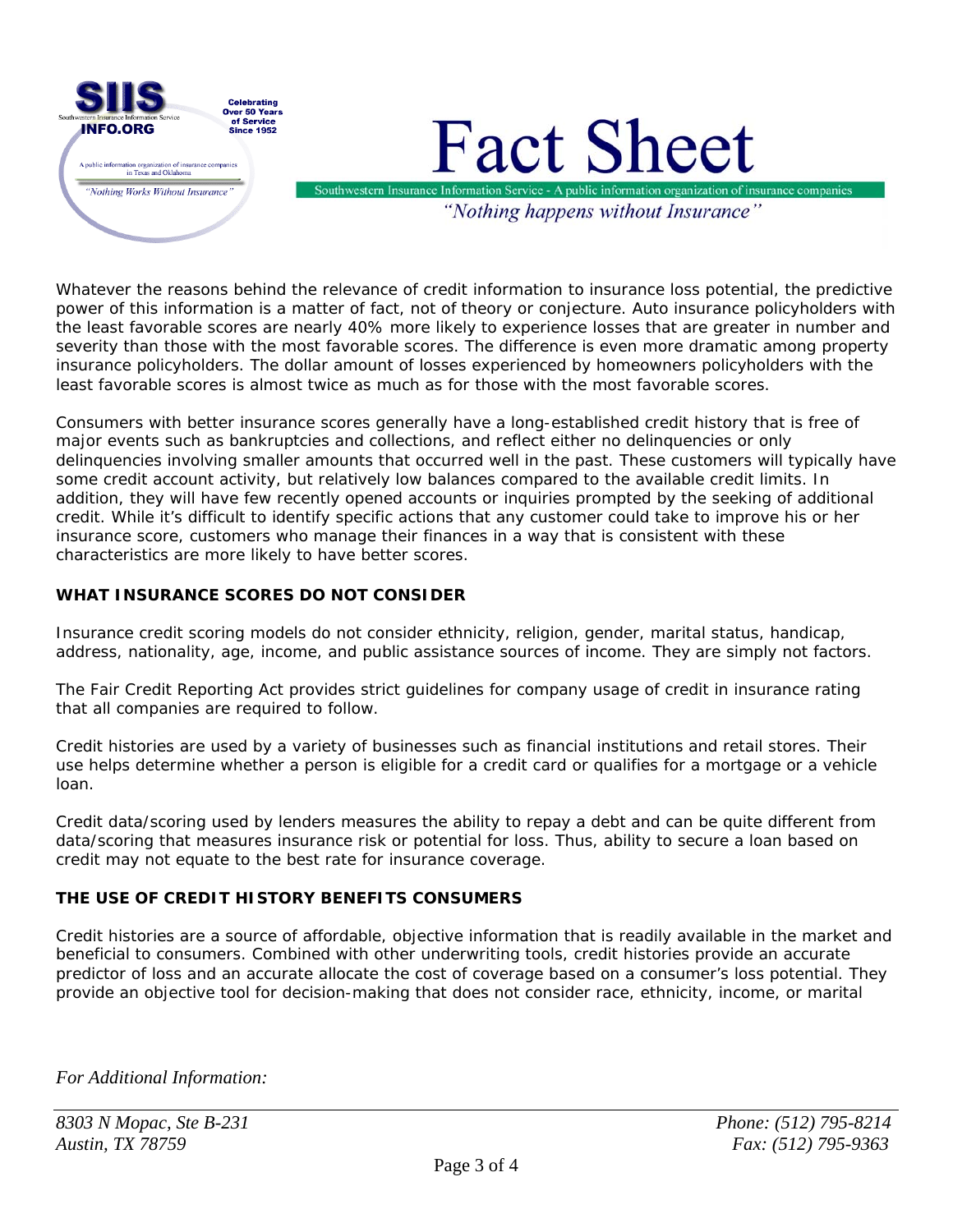

Whatever the reasons behind the relevance of credit information to insurance loss potential, the predictive power of this information is a matter of fact, not of theory or conjecture. Auto insurance policyholders with the least favorable scores are nearly 40% more likely to experience losses that are greater in number and severity than those with the most favorable scores. The difference is even more dramatic among property insurance policyholders. The dollar amount of losses experienced by homeowners policyholders with the least favorable scores is almost twice as much as for those with the most favorable scores.

Consumers with better insurance scores generally have a long-established credit history that is free of major events such as bankruptcies and collections, and reflect either no delinquencies or only delinquencies involving smaller amounts that occurred well in the past. These customers will typically have some credit account activity, but relatively low balances compared to the available credit limits. In addition, they will have few recently opened accounts or inquiries prompted by the seeking of additional credit. While it's difficult to identify specific actions that any customer could take to improve his or her insurance score, customers who manage their finances in a way that is consistent with these characteristics are more likely to have better scores.

## **WHAT INSURANCE SCORES DO NOT CONSIDER**

Insurance credit scoring models do not consider ethnicity, religion, gender, marital status, handicap, address, nationality, age, income, and public assistance sources of income. They are simply not factors.

The Fair Credit Reporting Act provides strict guidelines for company usage of credit in insurance rating that all companies are required to follow.

Credit histories are used by a variety of businesses such as financial institutions and retail stores. Their use helps determine whether a person is eligible for a credit card or qualifies for a mortgage or a vehicle loan.

Credit data/scoring used by lenders measures the ability to repay a debt and can be quite different from data/scoring that measures insurance risk or potential for loss. Thus, ability to secure a loan based on credit may not equate to the best rate for insurance coverage.

### **THE USE OF CREDIT HISTORY BENEFITS CONSUMERS**

Credit histories are a source of affordable, objective information that is readily available in the market and beneficial to consumers. Combined with other underwriting tools, credit histories provide an accurate predictor of loss and an accurate allocate the cost of coverage based on a consumer's loss potential. They provide an objective tool for decision-making that does not consider race, ethnicity, income, or marital